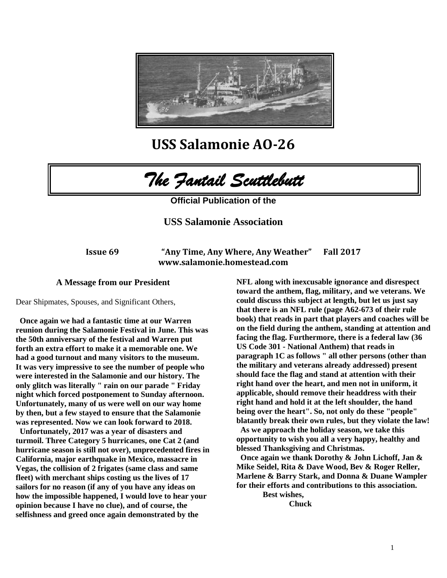

**USS Salamonie AO-26**



**Official Publication of the** 

# **USS Salamonie Association**

**Issue 69 "Any Time, Any Where, Any Weather" Fall 2017 www.salamonie.homestead.com**

# **A Message from our President**

Dear Shipmates, Spouses, and Significant Others,

**Once again we had a fantastic time at our Warren reunion during the Salamonie Festival in June. This was the 50th anniversary of the festival and Warren put forth an extra effort to make it a memorable one. We had a good turnout and many visitors to the museum. It was very impressive to see the number of people who were interested in the Salamonie and our history. The only glitch was literally " rain on our parade " Friday night which forced postponement to Sunday afternoon. Unfortunately, many of us were well on our way home by then, but a few stayed to ensure that the Salamonie was represented. Now we can look forward to 2018.**

**Unfortunately, 2017 was a year of disasters and turmoil. Three Category 5 hurricanes, one Cat 2 (and hurricane season is still not over), unprecedented fires in California, major earthquake in Mexico, massacre in Vegas, the collision of 2 frigates (same class and same fleet) with merchant ships costing us the lives of 17 sailors for no reason (if any of you have any ideas on how the impossible happened, I would love to hear your opinion because I have no clue), and of course, the selfishness and greed once again demonstrated by the** 

**NFL along with inexcusable ignorance and disrespect toward the anthem, flag, military, and we veterans. We could discuss this subject at length, but let us just say that there is an NFL rule (page A62-673 of their rule book) that reads in part that players and coaches will be on the field during the anthem, standing at attention and facing the flag. Furthermore, there is a federal law (36 US Code 301 - National Anthem) that reads in paragraph 1C as follows " all other persons (other than the military and veterans already addressed) present should face the flag and stand at attention with their right hand over the heart, and men not in uniform, it applicable, should remove their headdress with their right hand and hold it at the left shoulder, the hand being over the heart". So, not only do these "people" blatantly break their own rules, but they violate the law!**

**As we approach the holiday season, we take this opportunity to wish you all a very happy, healthy and blessed Thanksgiving and Christmas.**

**Once again we thank Dorothy & John Lichoff, Jan & Mike Seidel, Rita & Dave Wood, Bev & Roger Reller, Marlene & Barry Stark, and Donna & Duane Wampler for their efforts and contributions to this association.**

**Best wishes, Chuck**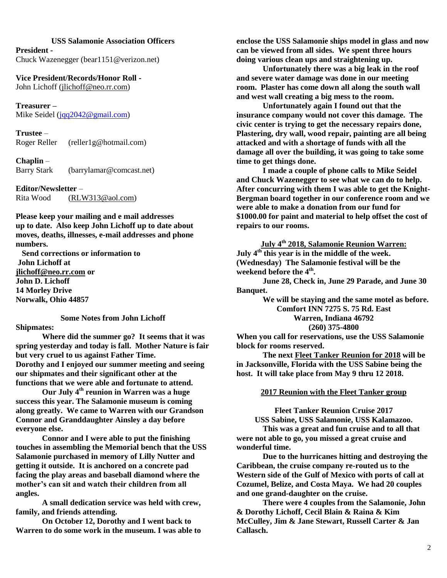#### **USS Salamonie Association Officers**

**President -** Chuck Wazenegger (bear1151@verizon.net)

**Vice President/Records/Honor Roll -**  John Lichoff [\(jlichoff@neo.rr.com\)](mailto:jlichoff@neo.rr.com)

**Treasurer –** Mike Seidel [\(jqq2042@gmail.com\)](mailto:jqq2042@gmail.com)

**Trustee** – Roger Reller (reller1g@hotmail.com)

**Chaplin** – Barry Stark (barrylamar@comcast.net)

**Editor/Newsletter** – Rita Wood [\(RLW313@aol.com\)](mailto:RLW313@aol.com)

**Please keep your mailing and e mail addresses up to date. Also keep John Lichoff up to date about moves, deaths, illnesses, e-mail addresses and phone numbers.**

 **Send corrections or information to John Lichoff at [jlichoff@neo.rr.com](mailto:jlichoff@neo.rr.com) or John D. Lichoff 14 Morley Drive Norwalk, Ohio 44857**

**Shipmates:**

**Some Notes from John Lichoff**

**Where did the summer go? It seems that it was spring yesterday and today is fall. Mother Nature is fair but very cruel to us against Father Time. Dorothy and I enjoyed our summer meeting and seeing our shipmates and their significant other at the functions that we were able and fortunate to attend.**

**Our July 4th reunion in Warren was a huge success this year. The Salamonie museum is coming along greatly. We came to Warren with our Grandson Connor and Granddaughter Ainsley a day before everyone else.**

**Connor and I were able to put the finishing touches in assembling the Memorial bench that the USS Salamonie purchased in memory of Lilly Nutter and getting it outside. It is anchored on a concrete pad facing the play areas and baseball diamond where the mother's can sit and watch their children from all angles.**

**A small dedication service was held with crew, family, and friends attending.**

**On October 12, Dorothy and I went back to Warren to do some work in the museum. I was able to**  **enclose the USS Salamonie ships model in glass and now can be viewed from all sides. We spent three hours doing various clean ups and straightening up.**

**Unfortunately there was a big leak in the roof and severe water damage was done in our meeting room. Plaster has come down all along the south wall and west wall creating a big mess to the room.** 

**Unfortunately again I found out that the insurance company would not cover this damage. The civic center is trying to get the necessary repairs done, Plastering, dry wall, wood repair, painting are all being attacked and with a shortage of funds with all the damage all over the building, it was going to take some time to get things done.** 

**I made a couple of phone calls to Mike Seidel and Chuck Wazenegger to see what we can do to help. After concurring with them I was able to get the Knight-Bergman board together in our conference room and we were able to make a donation from our fund for \$1000.00 for paint and material to help offset the cost of repairs to our rooms.**

**July 4th 2018, Salamonie Reunion Warren: July 4th this year is in the middle of the week. (Wednesday) The Salamonie festival will be the weekend before the 4th .** 

**June 28, Check in, June 29 Parade, and June 30 Banquet.**

> **We will be staying and the same motel as before. Comfort INN 7275 S. 75 Rd. East Warren, Indiana 46792 (260) 375-4800**

**When you call for reservations, use the USS Salamonie block for rooms reserved.**

**The next Fleet Tanker Reunion for 2018 will be in Jacksonville, Florida with the USS Sabine being the host. It will take place from May 9 thru 12 2018.**

**2017 Reunion with the Fleet Tanker group**

**Fleet Tanker Reunion Cruise 2017**

**USS Sabine, USS Salamonie, USS Kalamazoo. This was a great and fun cruise and to all that were not able to go, you missed a great cruise and wonderful time.**

**Due to the hurricanes hitting and destroying the Caribbean, the cruise company re-routed us to the Western side of the Gulf of Mexico with ports of call at Cozumel, Belize, and Costa Maya. We had 20 couples and one grand-daughter on the cruise.**

**There were 4 couples from the Salamonie, John & Dorothy Lichoff, Cecil Blain & Raina & Kim McCulley, Jim & Jane Stewart, Russell Carter & Jan Callasch.**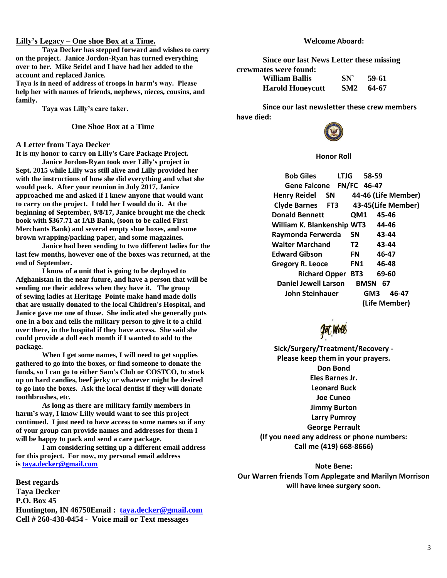#### **Lilly's Legacy – One shoe Box at a Time.**

**Taya Decker has stepped forward and wishes to carry on the project. Janice Jordon-Ryan has turned everything over to her. Mike Seidel and I have had her added to the account and replaced Janice.**

**Taya is in need of address of troops in harm's way. Please help her with names of friends, nephews, nieces, cousins, and family.**

**Taya was Lilly's care taker.**

### **One Shoe Box at a Time**

#### **A Letter from Taya Decker**

**It is my honor to carry on Lilly's Care Package Project.**

**Janice Jordon-Ryan took over Lilly's project in Sept. 2015 while Lilly was still alive and Lilly provided her with the instructions of how she did everything and what she would pack. After your reunion in July 2017, Janice approached me and asked if I knew anyone that would want to carry on the project. I told her I would do it. At the beginning of September, 9/8/17, Janice brought me the check book with \$367.71 at IAB Bank, (soon to be called First Merchants Bank) and several empty shoe boxes, and some brown wrapping/packing paper, and some magazines.**

**Janice had been sending to two different ladies for the last few months, however one of the boxes was returned, at the end of September.**

**I know of a unit that is going to be deployed to Afghanistan in the near future, and have a person that will be sending me their address when they have it. The group of sewing ladies at Heritage Pointe make hand made dolls that are usually donated to the local Children's Hospital, and Janice gave me one of those. She indicated she generally puts one in a box and tells the military person to give it to a child over there, in the hospital if they have access. She said she could provide a doll each month if I wanted to add to the package.**

**When I get some names, I will need to get supplies gathered to go into the boxes, or find someone to donate the funds, so I can go to either Sam's Club or COSTCO, to stock up on hard candies, beef jerky or whatever might be desired to go into the boxes. Ask the local dentist if they will donate toothbrushes, etc.**

**As long as there are military family members in harm's way, I know Lilly would want to see this project continued. I just need to have access to some names so if any of your group can provide names and addresses for them I will be happy to pack and send a care package.**

**I am considering setting up a different email address for this project. For now, my personal email address is [taya.decker@gmail.com](mailto:taya.decker@gmail.com)**

**Best regards Taya Decker P.O. Box 45 Huntington, IN 46750Email : [taya.decker@gmail.com](mailto:taya.decker@gmail.com) Cell # 260-438-0454 - Voice mail or Text messages**

### **Welcome Aboard:**

**Since our last News Letter these missing crewmates were found:**

**William Ballis SN` 59-61 Harold Honeycutt SM2 64-67**

**Since our last newsletter these crew members have died:**



## **Honor Roll**

**Bob Giles LTJG 58-59 Gene Falcone FN/FC 46-47 Henry Reidel SN 44-46 (Life Member) Clyde Barnes FT3 43-45(Life Member) Donald Bennett QM1 45-46 William K. Blankenship WT3 44-46 Raymonda Ferwerda SN 43-44 Walter Marchand T2 43-44 Edward Gibson FN 46-47 Gregory R. Leoce FN1 46-48 Richard Opper BT3 69-60 Daniel Jewell Larson BMSN 67 John Steinhauer GM3 46-47 (Life Member)**

**Get, Well** 

**Sick/Surgery/Treatment/Recovery - Please keep them in your prayers. Don Bond Eles Barnes Jr. Leonard Buck Joe Cuneo Jimmy Burton Larry Pumroy George Perrault (If you need any address or phone numbers: Call me (419) 668-8666)**

**Note Bene: Our Warren friends Tom Applegate and Marilyn Morrison will have knee surgery soon.**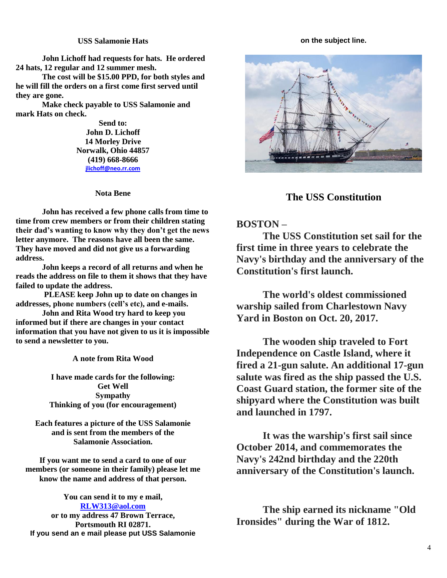# **USS Salamonie Hats**

**John Lichoff had requests for hats. He ordered 24 hats, 12 regular and 12 summer mesh.**

**The cost will be \$15.00 PPD, for both styles and he will fill the orders on a first come first served until they are gone.**

**Make check payable to USS Salamonie and mark Hats on check.**

> **Send to: John D. Lichoff 14 Morley Drive Norwalk, Ohio 44857 (419) 668-8666 [jlichoff@neo.rr.com](mailto:jlichoff@neo.rr.com)**

### **Nota Bene**

**John has received a few phone calls from time to time from crew members or from their children stating their dad's wanting to know why they don't get the news letter anymore. The reasons have all been the same. They have moved and did not give us a forwarding address.** 

**John keeps a record of all returns and when he reads the address on file to them it shows that they have failed to update the address.**

**PLEASE keep John up to date on changes in addresses, phone numbers (cell's etc), and e-mails.** 

**John and Rita Wood try hard to keep you informed but if there are changes in your contact information that you have not given to us it is impossible to send a newsletter to you.**

**A note from Rita Wood**

**I have made cards for the following: Get Well Sympathy Thinking of you (for encouragement)**

**Each features a picture of the USS Salamonie and is sent from the members of the Salamonie Association.**

**If you want me to send a card to one of our members (or someone in their family) please let me know the name and address of that person.**

**You can send it to my e mail, [RLW313@aol.com](mailto:RLW313@aol.com) or to my address 47 Brown Terrace, Portsmouth RI 02871. If you send an e mail please put USS Salamonie**

#### **on the subject line.**



# **The USS Constitution**

# **BOSTON –**

**The USS Constitution set sail for the first time in three years to celebrate the Navy's birthday and the anniversary of the Constitution's first launch.**

**The world's oldest commissioned warship sailed from Charlestown Navy Yard in Boston on Oct. 20, 2017.**

**The wooden ship traveled to Fort Independence on Castle Island, where it fired a 21-gun salute. An additional 17-gun salute was fired as the ship passed the U.S. Coast Guard station, the former site of the shipyard where the Constitution was built and launched in 1797.**

**It was the warship's first sail since October 2014, and commemorates the Navy's 242nd birthday and the 220th anniversary of the Constitution's launch.**

**The ship earned its nickname "Old Ironsides" during the War of 1812.**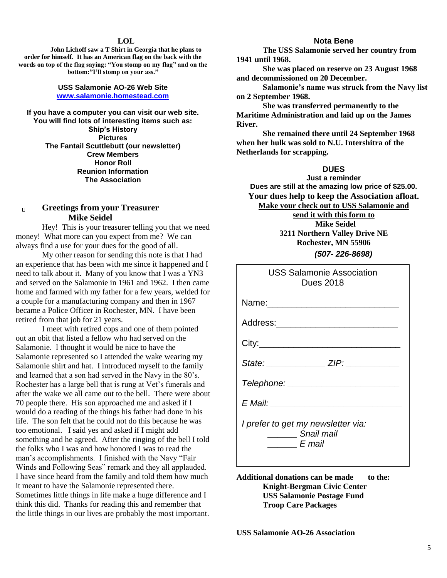#### **LOL**

**John Lichoff saw a T Shirt in Georgia that he plans to order for himself. It has an American flag on the back with the words on top of the flag saying: "You stomp on my flag" and on the bottom:"I'll stomp on your ass."**

#### **USS Salamonie AO-26 Web Site [www.salamonie.homestead.com](http://www.salamonie.homestead.com/)**

**If you have a computer you can visit our web site. You will find lots of interesting items such as: Ship's History Pictures The Fantail Scuttlebutt (our newsletter) Crew Members Honor Roll Reunion Information The Association**

#### **Greetings from your Treasurer**  $\Box$ **Mike Seidel**

Hey! This is your treasurer telling you that we need money! What more can you expect from me? We can always find a use for your dues for the good of all.

My other reason for sending this note is that I had an experience that has been with me since it happened and I need to talk about it. Many of you know that I was a YN3 and served on the Salamonie in 1961 and 1962. I then came home and farmed with my father for a few years, welded for a couple for a manufacturing company and then in 1967 became a Police Officer in Rochester, MN. I have been retired from that job for 21 years.

I meet with retired cops and one of them pointed out an obit that listed a fellow who had served on the Salamonie. I thought it would be nice to have the Salamonie represented so I attended the wake wearing my Salamonie shirt and hat. I introduced myself to the family and learned that a son had served in the Navy in the 80's. Rochester has a large bell that is rung at Vet's funerals and after the wake we all came out to the bell. There were about 70 people there. His son approached me and asked if I would do a reading of the things his father had done in his life. The son felt that he could not do this because he was too emotional. I said yes and asked if I might add something and he agreed. After the ringing of the bell I told the folks who I was and how honored I was to read the man's accomplishments. I finished with the Navy "Fair Winds and Following Seas" remark and they all applauded. I have since heard from the family and told them how much it meant to have the Salamonie represented there. Sometimes little things in life make a huge difference and I think this did. Thanks for reading this and remember that the little things in our lives are probably the most important.

#### **Nota Bene**

**The USS Salamonie served her country from 1941 until 1968.** 

**She was placed on reserve on 23 August 1968 and decommissioned on 20 December.**

**Salamonie's name was struck from the Navy list on 2 September 1968.**

**She was transferred permanently to the Maritime Administration and laid up on the James River.**

**She remained there until 24 September 1968 when her hulk was sold to N.U. Intershitra of the Netherlands for scrapping.**

# **DUES**

**Just a reminder Dues are still at the amazing low price of \$25.00. Your dues help to keep the Association afloat. Make your check out to USS Salamonie and send it with this form to Mike Seidel 3211 Northern Valley Drive NE Rochester, MN 55906**  *(507- 226-8698)*

| <b>USS Salamonie Association</b><br><b>Dues 2018</b>       |
|------------------------------------------------------------|
|                                                            |
| Address:_________________________                          |
|                                                            |
| State: ________________ ZIP: ___________                   |
| Telephone: _______________________                         |
| E Mail: _______________________                            |
| I prefer to get my newsletter via:<br>Snail mail<br>E mail |

Additional donations can be made to the: **Knight-Bergman Civic Center USS Salamonie Postage Fund Troop Care Packages**

**USS Salamonie AO-26 Association**